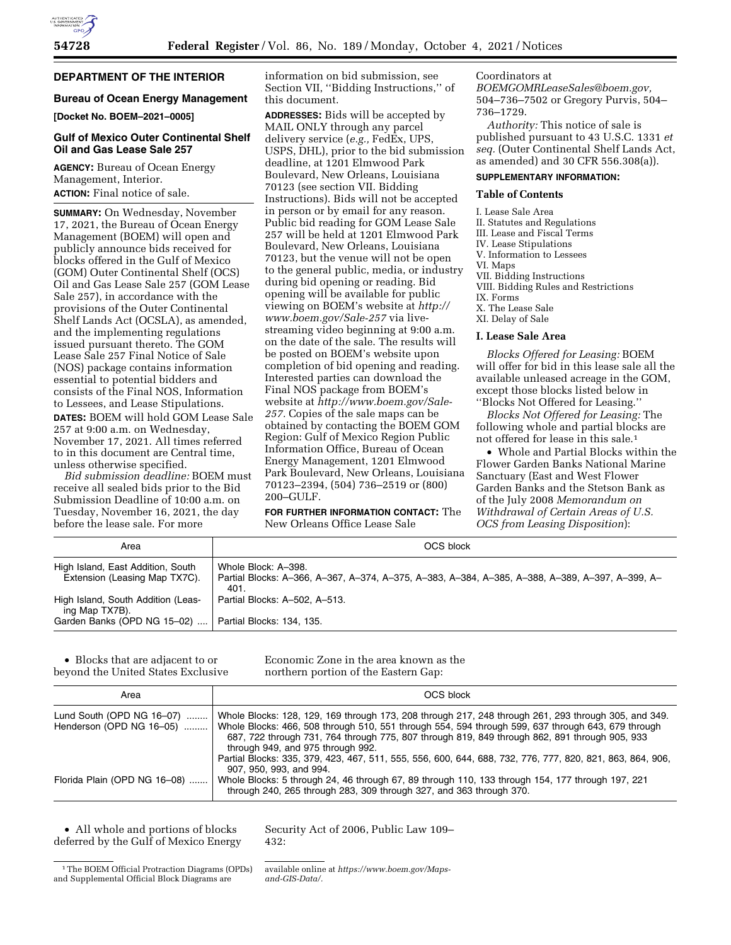## **DEPARTMENT OF THE INTERIOR**

## **Bureau of Ocean Energy Management**

**[Docket No. BOEM–2021–0005]** 

## **Gulf of Mexico Outer Continental Shelf Oil and Gas Lease Sale 257**

**AGENCY:** Bureau of Ocean Energy Management, Interior. **ACTION:** Final notice of sale.

**SUMMARY:** On Wednesday, November 17, 2021, the Bureau of Ocean Energy Management (BOEM) will open and publicly announce bids received for blocks offered in the Gulf of Mexico (GOM) Outer Continental Shelf (OCS) Oil and Gas Lease Sale 257 (GOM Lease Sale 257), in accordance with the provisions of the Outer Continental Shelf Lands Act (OCSLA), as amended, and the implementing regulations issued pursuant thereto. The GOM Lease Sale 257 Final Notice of Sale (NOS) package contains information essential to potential bidders and consists of the Final NOS, Information to Lessees, and Lease Stipulations. **DATES:** BOEM will hold GOM Lease Sale 257 at 9:00 a.m. on Wednesday, November 17, 2021. All times referred to in this document are Central time, unless otherwise specified.

*Bid submission deadline:* BOEM must receive all sealed bids prior to the Bid Submission Deadline of 10:00 a.m. on Tuesday, November 16, 2021, the day before the lease sale. For more

information on bid submission, see Section VII, ''Bidding Instructions,'' of this document.

**ADDRESSES:** Bids will be accepted by MAIL ONLY through any parcel delivery service (*e.g.,* FedEx, UPS, USPS, DHL), prior to the bid submission deadline, at 1201 Elmwood Park Boulevard, New Orleans, Louisiana 70123 (see section VII. Bidding Instructions). Bids will not be accepted in person or by email for any reason. Public bid reading for GOM Lease Sale 257 will be held at 1201 Elmwood Park Boulevard, New Orleans, Louisiana 70123, but the venue will not be open to the general public, media, or industry during bid opening or reading. Bid opening will be available for public viewing on BOEM's website at *[http://](http://www.boem.gov/Sale-257) [www.boem.gov/Sale-257](http://www.boem.gov/Sale-257)* via livestreaming video beginning at 9:00 a.m. on the date of the sale. The results will be posted on BOEM's website upon completion of bid opening and reading. Interested parties can download the Final NOS package from BOEM's website at *[http://www.boem.gov/Sale-](http://www.boem.gov/Sale-257)[257.](http://www.boem.gov/Sale-257)* Copies of the sale maps can be obtained by contacting the BOEM GOM Region: Gulf of Mexico Region Public Information Office, Bureau of Ocean Energy Management, 1201 Elmwood Park Boulevard, New Orleans, Louisiana 70123–2394, (504) 736–2519 or (800) 200–GULF.

**FOR FURTHER INFORMATION CONTACT:** The New Orleans Office Lease Sale

Coordinators at

*[BOEMGOMRLeaseSales@boem.gov,](mailto:BOEMGOMRLeaseSales@boem.gov)*  504–736–7502 or Gregory Purvis, 504– 736–1729.

*Authority:* This notice of sale is published pursuant to 43 U.S.C. 1331 *et seq.* (Outer Continental Shelf Lands Act, as amended) and 30 CFR 556.308(a)).

# **SUPPLEMENTARY INFORMATION:**

## **Table of Contents**

I. Lease Sale Area II. Statutes and Regulations III. Lease and Fiscal Terms IV. Lease Stipulations V. Information to Lessees VI. Maps VII. Bidding Instructions VIII. Bidding Rules and Restrictions IX. Forms X. The Lease Sale XI. Delay of Sale

#### **I. Lease Sale Area**

*Blocks Offered for Leasing:* BOEM will offer for bid in this lease sale all the available unleased acreage in the GOM, except those blocks listed below in ''Blocks Not Offered for Leasing.''

*Blocks Not Offered for Leasing:* The following whole and partial blocks are not offered for lease in this sale.1

• Whole and Partial Blocks within the Flower Garden Banks National Marine Sanctuary (East and West Flower Garden Banks and the Stetson Bank as of the July 2008 *Memorandum on Withdrawal of Certain Areas of U.S. OCS from Leasing Disposition*):

| Area                                                               | OCS block                                                                                                                       |  |  |
|--------------------------------------------------------------------|---------------------------------------------------------------------------------------------------------------------------------|--|--|
| High Island, East Addition, South<br>Extension (Leasing Map TX7C). | Whole Block: A-398.<br>Partial Blocks: A-366, A-367, A-374, A-375, A-383, A-384, A-385, A-388, A-389, A-397, A-399, A-<br>-401. |  |  |
| High Island, South Addition (Leas-<br>ing Map TX7B).               | Partial Blocks: A-502, A-513.                                                                                                   |  |  |
| Garden Banks (OPD NG 15-02)                                        | Partial Blocks: 134, 135.                                                                                                       |  |  |

• Blocks that are adjacent to or beyond the United States Exclusive

Economic Zone in the area known as the northern portion of the Eastern Gap:

| Area                         | OCS block                                                                                                                                                                                                                                                                                                                                                                                                                                                                                    |  |
|------------------------------|----------------------------------------------------------------------------------------------------------------------------------------------------------------------------------------------------------------------------------------------------------------------------------------------------------------------------------------------------------------------------------------------------------------------------------------------------------------------------------------------|--|
| Lund South (OPD NG 16-07)    | Whole Blocks: 128, 129, 169 through 173, 208 through 217, 248 through 261, 293 through 305, and 349.<br>Henderson (OPD NG 16–05) ………   Whole Blocks: 466, 508 through 510, 551 through 554, 594 through 599, 637 through 643, 679 through<br>687, 722 through 731, 764 through 775, 807 through 819, 849 through 862, 891 through 905, 933<br>through 949, and 975 through 992.<br>Partial Blocks: 335, 379, 423, 467, 511, 555, 556, 600, 644, 688, 732, 776, 777, 820, 821, 863, 864, 906, |  |
| Florida Plain (OPD NG 16-08) | 907, 950, 993, and 994.<br>Whole Blocks: 5 through 24, 46 through 67, 89 through 110, 133 through 154, 177 through 197, 221<br>through 240, 265 through 283, 309 through 327, and 363 through 370.                                                                                                                                                                                                                                                                                           |  |

• All whole and portions of blocks deferred by the Gulf of Mexico Energy Security Act of 2006, Public Law 109– 432:

available online at *[https://www.boem.gov/Maps](https://www.boem.gov/Maps-and-GIS-Data/)[and-GIS-Data/.](https://www.boem.gov/Maps-and-GIS-Data/)* 

<sup>&</sup>lt;sup>1</sup>The BOEM Official Protraction Diagrams (OPDs) and Supplemental Official Block Diagrams are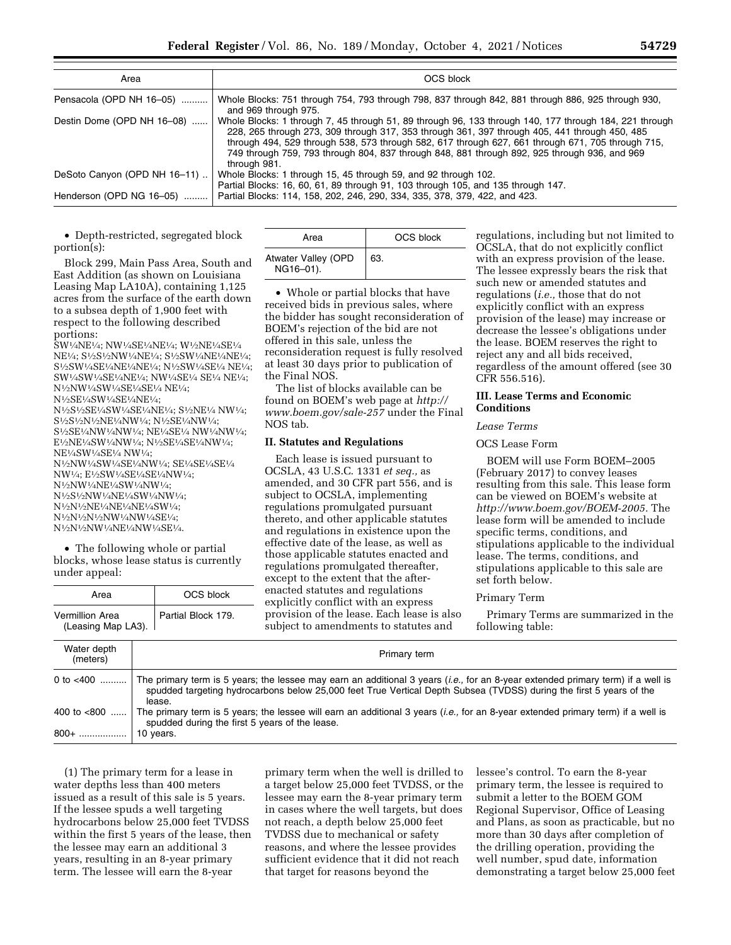| Area                         | OCS block                                                                                                                                                                                                                                                                                                                                                                                                                    |
|------------------------------|------------------------------------------------------------------------------------------------------------------------------------------------------------------------------------------------------------------------------------------------------------------------------------------------------------------------------------------------------------------------------------------------------------------------------|
| Pensacola (OPD NH 16-05)     | Whole Blocks: 751 through 754, 793 through 798, 837 through 842, 881 through 886, 925 through 930,<br>and 969 through 975.                                                                                                                                                                                                                                                                                                   |
| Destin Dome (OPD NH 16-08)   | Whole Blocks: 1 through 7, 45 through 51, 89 through 96, 133 through 140, 177 through 184, 221 through<br>228, 265 through 273, 309 through 317, 353 through 361, 397 through 405, 441 through 450, 485<br>through 494, 529 through 538, 573 through 582, 617 through 627, 661 through 671, 705 through 715,<br>749 through 759, 793 through 804, 837 through 848, 881 through 892, 925 through 936, and 969<br>through 981. |
| DeSoto Canyon (OPD NH 16-11) | Whole Blocks: 1 through 15, 45 through 59, and 92 through 102.<br>Partial Blocks: 16, 60, 61, 89 through 91, 103 through 105, and 135 through 147.                                                                                                                                                                                                                                                                           |
| Henderson (OPD NG 16-05)     | Partial Blocks: 114, 158, 202, 246, 290, 334, 335, 378, 379, 422, and 423.                                                                                                                                                                                                                                                                                                                                                   |

• Depth-restricted, segregated block portion(s):

Block 299, Main Pass Area, South and East Addition (as shown on Louisiana Leasing Map LA10A), containing 1,125 acres from the surface of the earth down to a subsea depth of 1,900 feet with respect to the following described portions:

SW1⁄4NE1⁄4; NW1⁄4SE1⁄4NE1⁄4; W1⁄2NE1⁄4SE1⁄4 NE1⁄4; S1⁄2S1⁄2NW1⁄4NE1⁄4; S1⁄2SW1⁄4NE1⁄4NE1⁄4; S1⁄2SW1⁄4SE1⁄4NE1⁄4NE1⁄4; N1⁄2SW1⁄4SE1⁄4 NE1⁄4; SW1⁄4SW1⁄4SE1⁄4NE1⁄4; NW1⁄4SE1⁄4 SE1⁄4 NE1⁄4; N<sup>1</sup>/2NW<sup>1</sup>/4SW<sup>1</sup>/4SE<sup>1</sup>/4SE<sup>1</sup>/4 NE<sup>1</sup>/4; N1⁄2SE1⁄4SW1⁄4SE1⁄4NE1⁄4;

N1⁄2S1⁄2SE1⁄4SW1⁄4SE1⁄4NE1⁄4; S1⁄2NE1⁄4 NW1⁄4; S1⁄2S1⁄2N1⁄2NE1⁄4NW1⁄4; N1⁄2SE1⁄4NW1⁄4; S1⁄2SE1⁄4NW1⁄4NW1⁄4; NE1⁄4SE1⁄4 NW1⁄4NW1⁄4; E1⁄2NE1⁄4SW1⁄4NW1⁄4; N1⁄2SE1⁄4SE1⁄4NW1⁄4; NE1⁄4SW1⁄4SE1⁄4 NW1⁄4; N1⁄2NW1⁄4SW1⁄4SE1⁄4NW1⁄4; SE1⁄4SE1⁄4SE1⁄4 NW1⁄4; E1⁄2SW1⁄4SE1⁄4SE1⁄4NW1⁄4; N1⁄2NW1⁄4NE1⁄4SW1⁄4NW1⁄4; N1⁄2S1⁄2NW1⁄4NE1⁄4SW1⁄4NW1⁄4; N1⁄2N1⁄2NE1⁄4NE1⁄4NE1⁄4SW1⁄4; N1⁄2N1⁄2N1⁄2NW1⁄4NW1⁄4SE1⁄4; N1⁄2N1⁄2NW1⁄4NE1⁄4NW1⁄4SE1⁄4.

• The following whole or partial blocks, whose lease status is currently under appeal:

Vermillion Area

Area | OCS block

Partial Block 179.

| Area                             | OCS block |  |  |
|----------------------------------|-----------|--|--|
| Atwater Valley (OPD<br>NG16-01). | 63.       |  |  |

• Whole or partial blocks that have received bids in previous sales, where the bidder has sought reconsideration of BOEM's rejection of the bid are not offered in this sale, unless the reconsideration request is fully resolved at least 30 days prior to publication of the Final NOS.

The list of blocks available can be found on BOEM's web page at *[http://](http://www.boem.gov/sale-257) [www.boem.gov/sale-257](http://www.boem.gov/sale-257)* under the Final NOS tab.

### **II. Statutes and Regulations**

Each lease is issued pursuant to OCSLA, 43 U.S.C. 1331 *et seq.,* as amended, and 30 CFR part 556, and is subject to OCSLA, implementing regulations promulgated pursuant thereto, and other applicable statutes and regulations in existence upon the effective date of the lease, as well as those applicable statutes enacted and regulations promulgated thereafter, except to the extent that the afterenacted statutes and regulations explicitly conflict with an express provision of the lease. Each lease is also subject to amendments to statutes and

regulations, including but not limited to OCSLA, that do not explicitly conflict with an express provision of the lease. The lessee expressly bears the risk that such new or amended statutes and regulations (*i.e.,* those that do not explicitly conflict with an express provision of the lease) may increase or decrease the lessee's obligations under the lease. BOEM reserves the right to reject any and all bids received, regardless of the amount offered (see 30 CFR 556.516).

### **III. Lease Terms and Economic Conditions**

## *Lease Terms*

### OCS Lease Form

BOEM will use Form BOEM–2005 (February 2017) to convey leases resulting from this sale. This lease form can be viewed on BOEM's website at *[http://www.boem.gov/BOEM-2005.](http://www.boem.gov/BOEM-2005)* The lease form will be amended to include specific terms, conditions, and stipulations applicable to the individual lease. The terms, conditions, and stipulations applicable to this sale are set forth below.

### Primary Term

Primary Terms are summarized in the following table:

| (Leasing Map LA3).      | subject to amendments to statutes and<br>following table:                                                                                                                                                                                                                |  |  |
|-------------------------|--------------------------------------------------------------------------------------------------------------------------------------------------------------------------------------------------------------------------------------------------------------------------|--|--|
| Water depth<br>(meters) | Primary term                                                                                                                                                                                                                                                             |  |  |
| 0 to $< 400$            | The primary term is 5 years; the lessee may earn an additional 3 years <i>(i.e.</i> , for an 8-year extended primary term) if a well is<br>spudded targeting hydrocarbons below 25,000 feet True Vertical Depth Subsea (TVDSS) during the first 5 years of the<br>lease. |  |  |
| 400 to $<800$           | The primary term is 5 years; the lessee will earn an additional 3 years <i>(i.e.</i> , for an 8-year extended primary term) if a well is<br>spudded during the first 5 years of the lease.                                                                               |  |  |
| 800+                    | 10 years.                                                                                                                                                                                                                                                                |  |  |

(1) The primary term for a lease in water depths less than 400 meters issued as a result of this sale is 5 years. If the lessee spuds a well targeting hydrocarbons below 25,000 feet TVDSS within the first 5 years of the lease, then the lessee may earn an additional 3 years, resulting in an 8-year primary term. The lessee will earn the 8-year

primary term when the well is drilled to a target below 25,000 feet TVDSS, or the lessee may earn the 8-year primary term in cases where the well targets, but does not reach, a depth below 25,000 feet TVDSS due to mechanical or safety reasons, and where the lessee provides sufficient evidence that it did not reach that target for reasons beyond the

lessee's control. To earn the 8-year primary term, the lessee is required to submit a letter to the BOEM GOM Regional Supervisor, Office of Leasing and Plans, as soon as practicable, but no more than 30 days after completion of the drilling operation, providing the well number, spud date, information demonstrating a target below 25,000 feet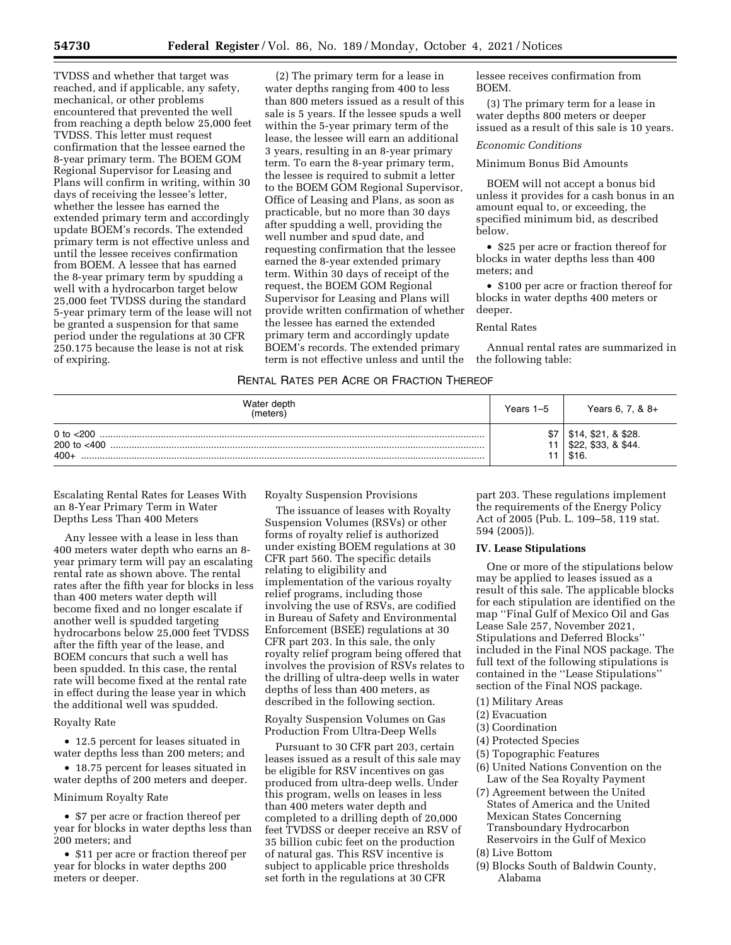TVDSS and whether that target was reached, and if applicable, any safety, mechanical, or other problems encountered that prevented the well from reaching a depth below 25,000 feet TVDSS. This letter must request confirmation that the lessee earned the 8-year primary term. The BOEM GOM Regional Supervisor for Leasing and Plans will confirm in writing, within 30 days of receiving the lessee's letter, whether the lessee has earned the extended primary term and accordingly update BOEM's records. The extended primary term is not effective unless and until the lessee receives confirmation from BOEM. A lessee that has earned the 8-year primary term by spudding a well with a hydrocarbon target below 25,000 feet TVDSS during the standard 5-year primary term of the lease will not be granted a suspension for that same period under the regulations at 30 CFR 250.175 because the lease is not at risk of expiring.

(2) The primary term for a lease in water depths ranging from 400 to less than 800 meters issued as a result of this sale is 5 years. If the lessee spuds a well within the 5-year primary term of the lease, the lessee will earn an additional 3 years, resulting in an 8-year primary term. To earn the 8-year primary term, the lessee is required to submit a letter to the BOEM GOM Regional Supervisor, Office of Leasing and Plans, as soon as practicable, but no more than 30 days after spudding a well, providing the well number and spud date, and requesting confirmation that the lessee earned the 8-year extended primary term. Within 30 days of receipt of the request, the BOEM GOM Regional Supervisor for Leasing and Plans will provide written confirmation of whether the lessee has earned the extended primary term and accordingly update BOEM's records. The extended primary term is not effective unless and until the

lessee receives confirmation from BOEM.

(3) The primary term for a lease in water depths 800 meters or deeper issued as a result of this sale is 10 years.

#### *Economic Conditions*

### Minimum Bonus Bid Amounts

BOEM will not accept a bonus bid unless it provides for a cash bonus in an amount equal to, or exceeding, the specified minimum bid, as described below.

• \$25 per acre or fraction thereof for blocks in water depths less than 400 meters; and

• \$100 per acre or fraction thereof for blocks in water depths 400 meters or deeper.

### Rental Rates

Annual rental rates are summarized in the following table:

### RENTAL RATES PER ACRE OR FRACTION THEREOF

| Water depth<br>(meters)                  | Years 1-5 | Years 6, 7, $8 +$                               |
|------------------------------------------|-----------|-------------------------------------------------|
| 0 to $< 200$<br>200 to $<$ 400<br>$400+$ |           | \$21, 8\$28.<br>\$33, & \$44.<br>\$22,<br>\$16. |

Escalating Rental Rates for Leases With an 8-Year Primary Term in Water Depths Less Than 400 Meters

Any lessee with a lease in less than 400 meters water depth who earns an 8 year primary term will pay an escalating rental rate as shown above. The rental rates after the fifth year for blocks in less than 400 meters water depth will become fixed and no longer escalate if another well is spudded targeting hydrocarbons below 25,000 feet TVDSS after the fifth year of the lease, and BOEM concurs that such a well has been spudded. In this case, the rental rate will become fixed at the rental rate in effect during the lease year in which the additional well was spudded.

#### Royalty Rate

• 12.5 percent for leases situated in water depths less than 200 meters; and

• 18.75 percent for leases situated in water depths of 200 meters and deeper.

## Minimum Royalty Rate

• \$7 per acre or fraction thereof per year for blocks in water depths less than 200 meters; and

• \$11 per acre or fraction thereof per year for blocks in water depths 200 meters or deeper.

Royalty Suspension Provisions

The issuance of leases with Royalty Suspension Volumes (RSVs) or other forms of royalty relief is authorized under existing BOEM regulations at 30 CFR part 560. The specific details relating to eligibility and implementation of the various royalty relief programs, including those involving the use of RSVs, are codified in Bureau of Safety and Environmental Enforcement (BSEE) regulations at 30 CFR part 203. In this sale, the only royalty relief program being offered that involves the provision of RSVs relates to the drilling of ultra-deep wells in water depths of less than 400 meters, as described in the following section.

Royalty Suspension Volumes on Gas Production From Ultra-Deep Wells

Pursuant to 30 CFR part 203, certain leases issued as a result of this sale may be eligible for RSV incentives on gas produced from ultra-deep wells. Under this program, wells on leases in less than 400 meters water depth and completed to a drilling depth of 20,000 feet TVDSS or deeper receive an RSV of 35 billion cubic feet on the production of natural gas. This RSV incentive is subject to applicable price thresholds set forth in the regulations at 30 CFR

part 203. These regulations implement the requirements of the Energy Policy Act of 2005 (Pub. L. 109–58, 119 stat. 594 (2005)).

### **IV. Lease Stipulations**

One or more of the stipulations below may be applied to leases issued as a result of this sale. The applicable blocks for each stipulation are identified on the map ''Final Gulf of Mexico Oil and Gas Lease Sale 257, November 2021, Stipulations and Deferred Blocks'' included in the Final NOS package. The full text of the following stipulations is contained in the ''Lease Stipulations'' section of the Final NOS package.

(1) Military Areas

- (2) Evacuation
- (3) Coordination
- (4) Protected Species
- (5) Topographic Features
- (6) United Nations Convention on the Law of the Sea Royalty Payment
- (7) Agreement between the United States of America and the United Mexican States Concerning Transboundary Hydrocarbon Reservoirs in the Gulf of Mexico
- (8) Live Bottom
- (9) Blocks South of Baldwin County, Alabama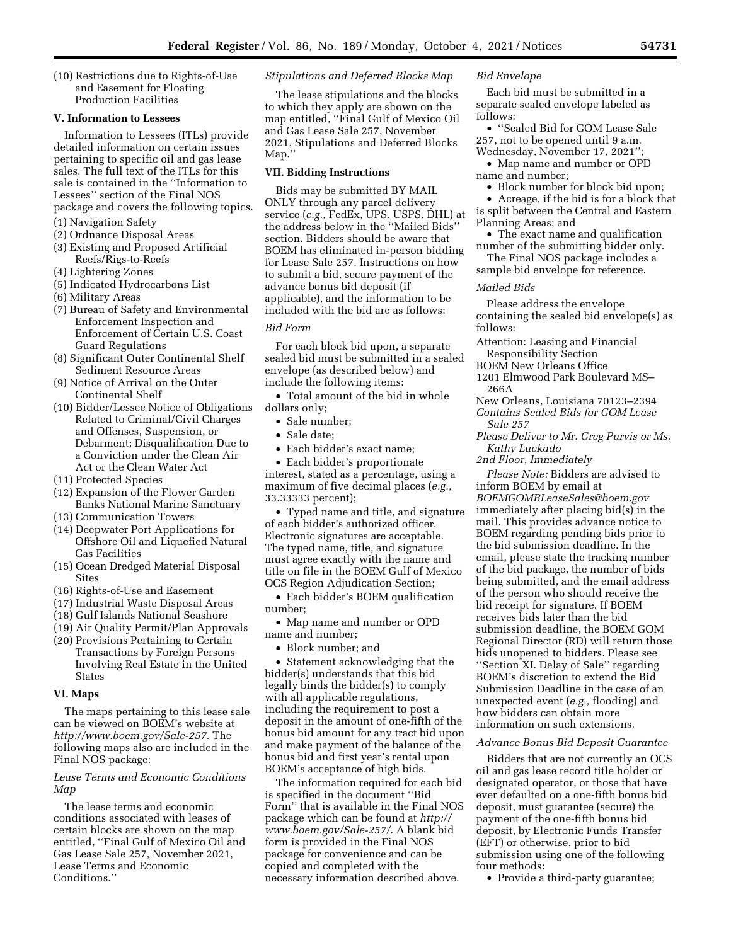(10) Restrictions due to Rights-of-Use and Easement for Floating Production Facilities

#### **V. Information to Lessees**

Information to Lessees (ITLs) provide detailed information on certain issues pertaining to specific oil and gas lease sales. The full text of the ITLs for this sale is contained in the ''Information to Lessees'' section of the Final NOS package and covers the following topics.

- (1) Navigation Safety
- (2) Ordnance Disposal Areas
- (3) Existing and Proposed Artificial Reefs/Rigs-to-Reefs
- (4) Lightering Zones
- (5) Indicated Hydrocarbons List
- (6) Military Areas
- (7) Bureau of Safety and Environmental Enforcement Inspection and Enforcement of Certain U.S. Coast Guard Regulations
- (8) Significant Outer Continental Shelf Sediment Resource Areas
- (9) Notice of Arrival on the Outer Continental Shelf
- (10) Bidder/Lessee Notice of Obligations Related to Criminal/Civil Charges and Offenses, Suspension, or Debarment; Disqualification Due to a Conviction under the Clean Air Act or the Clean Water Act
- (11) Protected Species
- (12) Expansion of the Flower Garden Banks National Marine Sanctuary
- (13) Communication Towers
- (14) Deepwater Port Applications for Offshore Oil and Liquefied Natural Gas Facilities
- (15) Ocean Dredged Material Disposal Sites
- (16) Rights-of-Use and Easement
- (17) Industrial Waste Disposal Areas
- (18) Gulf Islands National Seashore
- (19) Air Quality Permit/Plan Approvals
- (20) Provisions Pertaining to Certain Transactions by Foreign Persons Involving Real Estate in the United States

### **VI. Maps**

The maps pertaining to this lease sale can be viewed on BOEM's website at *[http://www.boem.gov/Sale-257.](http://www.boem.gov/Sale-257)* The following maps also are included in the Final NOS package:

## *Lease Terms and Economic Conditions Map*

The lease terms and economic conditions associated with leases of certain blocks are shown on the map entitled, ''Final Gulf of Mexico Oil and Gas Lease Sale 257, November 2021, Lease Terms and Economic Conditions.''

### *Stipulations and Deferred Blocks Map*

The lease stipulations and the blocks to which they apply are shown on the map entitled, ''Final Gulf of Mexico Oil and Gas Lease Sale 257, November 2021, Stipulations and Deferred Blocks Map.''

### **VII. Bidding Instructions**

Bids may be submitted BY MAIL ONLY through any parcel delivery service (*e.g.,* FedEx, UPS, USPS, DHL) at the address below in the ''Mailed Bids'' section. Bidders should be aware that BOEM has eliminated in-person bidding for Lease Sale 257. Instructions on how to submit a bid, secure payment of the advance bonus bid deposit (if applicable), and the information to be included with the bid are as follows:

### *Bid Form*

For each block bid upon, a separate sealed bid must be submitted in a sealed envelope (as described below) and include the following items:

• Total amount of the bid in whole dollars only;

- Sale number;
- Sale date;
- Each bidder's exact name;

• Each bidder's proportionate interest, stated as a percentage, using a maximum of five decimal places (*e.g.,*  33.33333 percent);

• Typed name and title, and signature of each bidder's authorized officer. Electronic signatures are acceptable. The typed name, title, and signature must agree exactly with the name and title on file in the BOEM Gulf of Mexico OCS Region Adjudication Section;

• Each bidder's BOEM qualification number;

- Map name and number or OPD name and number;
	- Block number; and

• Statement acknowledging that the bidder(s) understands that this bid legally binds the bidder(s) to comply with all applicable regulations, including the requirement to post a deposit in the amount of one-fifth of the bonus bid amount for any tract bid upon and make payment of the balance of the bonus bid and first year's rental upon BOEM's acceptance of high bids.

The information required for each bid is specified in the document ''Bid Form'' that is available in the Final NOS package which can be found at *[http://](http://www.boem.gov/Sale-257/) [www.boem.gov/Sale-257/.](http://www.boem.gov/Sale-257/)* A blank bid form is provided in the Final NOS package for convenience and can be copied and completed with the necessary information described above.

### *Bid Envelope*

Each bid must be submitted in a separate sealed envelope labeled as follows:

• ''Sealed Bid for GOM Lease Sale 257, not to be opened until 9 a.m.

Wednesday, November 17, 2021'';

• Map name and number or OPD name and number;

- Block number for block bid upon;
- Acreage, if the bid is for a block that is split between the Central and Eastern Planning Areas; and
- The exact name and qualification number of the submitting bidder only.
- The Final NOS package includes a sample bid envelope for reference.

#### *Mailed Bids*

Please address the envelope containing the sealed bid envelope(s) as follows:

- Attention: Leasing and Financial Responsibility Section
- BOEM New Orleans Office
- 1201 Elmwood Park Boulevard MS– 266A
- New Orleans, Louisiana 70123–2394 *Contains Sealed Bids for GOM Lease Sale 257*
- *Please Deliver to Mr. Greg Purvis or Ms. Kathy Luckado*
- *2nd Floor, Immediately*

*Please Note:* Bidders are advised to inform BOEM by email at *[BOEMGOMRLeaseSales@boem.gov](mailto:BOEMGOMRLeaseSales@boem.gov)*  immediately after placing bid(s) in the mail. This provides advance notice to BOEM regarding pending bids prior to the bid submission deadline. In the email, please state the tracking number of the bid package, the number of bids being submitted, and the email address of the person who should receive the bid receipt for signature. If BOEM receives bids later than the bid submission deadline, the BOEM GOM Regional Director (RD) will return those bids unopened to bidders. Please see ''Section XI. Delay of Sale'' regarding BOEM's discretion to extend the Bid Submission Deadline in the case of an unexpected event (*e.g.,* flooding) and how bidders can obtain more information on such extensions.

#### *Advance Bonus Bid Deposit Guarantee*

Bidders that are not currently an OCS oil and gas lease record title holder or designated operator, or those that have ever defaulted on a one-fifth bonus bid deposit, must guarantee (secure) the payment of the one-fifth bonus bid deposit, by Electronic Funds Transfer (EFT) or otherwise, prior to bid submission using one of the following four methods:

• Provide a third-party guarantee;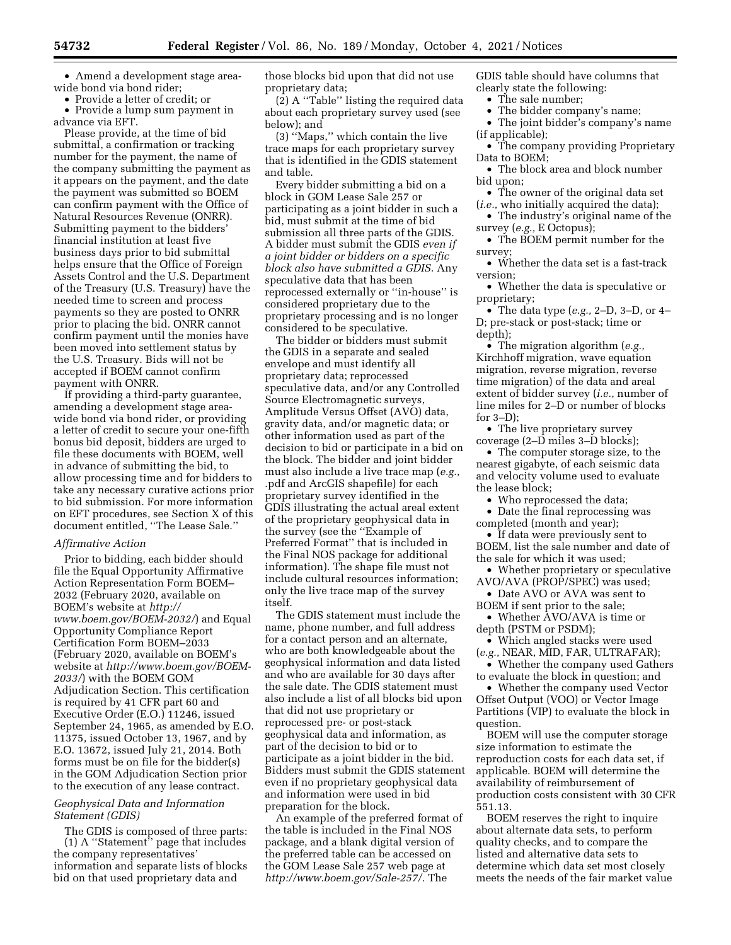• Amend a development stage areawide bond via bond rider;

• Provide a letter of credit; or

• Provide a lump sum payment in advance via EFT.

Please provide, at the time of bid submittal, a confirmation or tracking number for the payment, the name of the company submitting the payment as it appears on the payment, and the date the payment was submitted so BOEM can confirm payment with the Office of Natural Resources Revenue (ONRR). Submitting payment to the bidders' financial institution at least five business days prior to bid submittal helps ensure that the Office of Foreign Assets Control and the U.S. Department of the Treasury (U.S. Treasury) have the needed time to screen and process payments so they are posted to ONRR prior to placing the bid. ONRR cannot confirm payment until the monies have been moved into settlement status by the U.S. Treasury. Bids will not be accepted if BOEM cannot confirm payment with ONRR.

If providing a third-party guarantee, amending a development stage areawide bond via bond rider, or providing a letter of credit to secure your one-fifth bonus bid deposit, bidders are urged to file these documents with BOEM, well in advance of submitting the bid, to allow processing time and for bidders to take any necessary curative actions prior to bid submission. For more information on EFT procedures, see Section X of this document entitled, ''The Lease Sale.''

#### *Affirmative Action*

Prior to bidding, each bidder should file the Equal Opportunity Affirmative Action Representation Form BOEM– 2032 (February 2020, available on BOEM's website at *[http://](http://www.boem.gov/BOEM-2032/) [www.boem.gov/BOEM-2032/](http://www.boem.gov/BOEM-2032/)*) and Equal Opportunity Compliance Report Certification Form BOEM–2033 (February 2020, available on BOEM's website at *[http://www.boem.gov/BOEM-](http://www.boem.gov/BOEM-2033/)[2033/](http://www.boem.gov/BOEM-2033/)*) with the BOEM GOM Adjudication Section. This certification is required by 41 CFR part 60 and Executive Order (E.O.) 11246, issued September 24, 1965, as amended by E.O. 11375, issued October 13, 1967, and by E.O. 13672, issued July 21, 2014. Both forms must be on file for the bidder(s) in the GOM Adjudication Section prior to the execution of any lease contract.

### *Geophysical Data and Information Statement (GDIS)*

The GDIS is composed of three parts: (1) A ''Statement'' page that includes the company representatives' information and separate lists of blocks bid on that used proprietary data and

those blocks bid upon that did not use proprietary data;

(2) A ''Table'' listing the required data about each proprietary survey used (see below); and

(3) ''Maps,'' which contain the live trace maps for each proprietary survey that is identified in the GDIS statement and table.

Every bidder submitting a bid on a block in GOM Lease Sale 257 or participating as a joint bidder in such a bid, must submit at the time of bid submission all three parts of the GDIS. A bidder must submit the GDIS *even if a joint bidder or bidders on a specific block also have submitted a GDIS.* Any speculative data that has been reprocessed externally or ''in-house'' is considered proprietary due to the proprietary processing and is no longer considered to be speculative.

The bidder or bidders must submit the GDIS in a separate and sealed envelope and must identify all proprietary data; reprocessed speculative data, and/or any Controlled Source Electromagnetic surveys, Amplitude Versus Offset (AVO) data, gravity data, and/or magnetic data; or other information used as part of the decision to bid or participate in a bid on the block. The bidder and joint bidder must also include a live trace map (*e.g.,*  .pdf and ArcGIS shapefile) for each proprietary survey identified in the GDIS illustrating the actual areal extent of the proprietary geophysical data in the survey (see the ''Example of Preferred Format'' that is included in the Final NOS package for additional information). The shape file must not include cultural resources information; only the live trace map of the survey itself.

The GDIS statement must include the name, phone number, and full address for a contact person and an alternate, who are both knowledgeable about the geophysical information and data listed and who are available for 30 days after the sale date. The GDIS statement must also include a list of all blocks bid upon that did not use proprietary or reprocessed pre- or post-stack geophysical data and information, as part of the decision to bid or to participate as a joint bidder in the bid. Bidders must submit the GDIS statement even if no proprietary geophysical data and information were used in bid preparation for the block.

An example of the preferred format of the table is included in the Final NOS package, and a blank digital version of the preferred table can be accessed on the GOM Lease Sale 257 web page at *[http://www.boem.gov/Sale-257/.](http://www.boem.gov/Sale-257/)* The

GDIS table should have columns that clearly state the following:

• The sale number;

- The bidder company's name;
- The joint bidder's company's name (if applicable);
- The company providing Proprietary Data to BOEM;

• The block area and block number bid upon;

• The owner of the original data set

(*i.e.,* who initially acquired the data); • The industry's original name of the survey (*e.g.,* E Octopus);

• The BOEM permit number for the survey;

• Whether the data set is a fast-track version;

• Whether the data is speculative or proprietary;

• The data type (*e.g.,* 2–D, 3–D, or 4– D; pre-stack or post-stack; time or depth);

• The migration algorithm (*e.g.,*  Kirchhoff migration, wave equation migration, reverse migration, reverse time migration) of the data and areal extent of bidder survey (*i.e.,* number of line miles for 2–D or number of blocks for 3–D);

• The live proprietary survey coverage (2–D miles 3–D blocks);

• The computer storage size, to the nearest gigabyte, of each seismic data and velocity volume used to evaluate the lease block;

• Who reprocessed the data;

• Date the final reprocessing was completed (month and year);

• If data were previously sent to BOEM, list the sale number and date of the sale for which it was used;

• Whether proprietary or speculative AVO/AVA (PROP/SPEC) was used;

- Date AVO or AVA was sent to
- BOEM if sent prior to the sale; • Whether AVO/AVA is time or

depth (PSTM or PSDM);

• Which angled stacks were used (*e.g.,* NEAR, MID, FAR, ULTRAFAR);

• Whether the company used Gathers to evaluate the block in question; and

• Whether the company used Vector Offset Output (VOO) or Vector Image Partitions (VIP) to evaluate the block in question.

BOEM will use the computer storage size information to estimate the reproduction costs for each data set, if applicable. BOEM will determine the availability of reimbursement of production costs consistent with 30 CFR 551.13.

BOEM reserves the right to inquire about alternate data sets, to perform quality checks, and to compare the listed and alternative data sets to determine which data set most closely meets the needs of the fair market value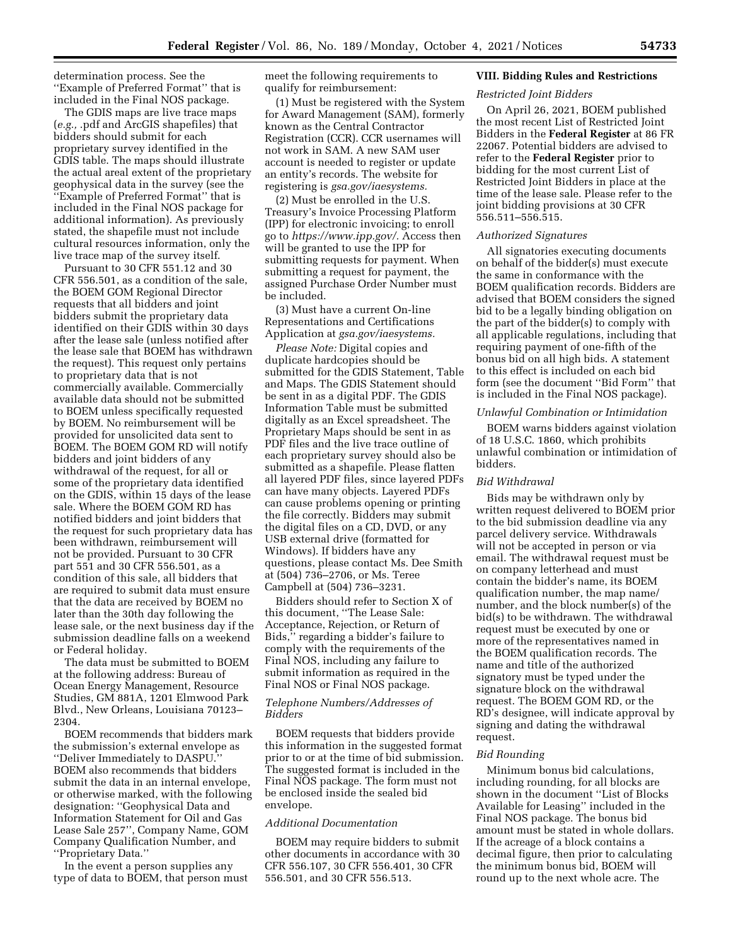determination process. See the ''Example of Preferred Format'' that is included in the Final NOS package.

The GDIS maps are live trace maps (*e.g.,* .pdf and ArcGIS shapefiles) that bidders should submit for each proprietary survey identified in the GDIS table. The maps should illustrate the actual areal extent of the proprietary geophysical data in the survey (see the ''Example of Preferred Format'' that is included in the Final NOS package for additional information). As previously stated, the shapefile must not include cultural resources information, only the live trace map of the survey itself.

Pursuant to 30 CFR 551.12 and 30 CFR 556.501, as a condition of the sale, the BOEM GOM Regional Director requests that all bidders and joint bidders submit the proprietary data identified on their GDIS within 30 days after the lease sale (unless notified after the lease sale that BOEM has withdrawn the request). This request only pertains to proprietary data that is not commercially available. Commercially available data should not be submitted to BOEM unless specifically requested by BOEM. No reimbursement will be provided for unsolicited data sent to BOEM. The BOEM GOM RD will notify bidders and joint bidders of any withdrawal of the request, for all or some of the proprietary data identified on the GDIS, within 15 days of the lease sale. Where the BOEM GOM RD has notified bidders and joint bidders that the request for such proprietary data has been withdrawn, reimbursement will not be provided. Pursuant to 30 CFR part 551 and 30 CFR 556.501, as a condition of this sale, all bidders that are required to submit data must ensure that the data are received by BOEM no later than the 30th day following the lease sale, or the next business day if the submission deadline falls on a weekend or Federal holiday.

The data must be submitted to BOEM at the following address: Bureau of Ocean Energy Management, Resource Studies, GM 881A, 1201 Elmwood Park Blvd., New Orleans, Louisiana 70123– 2304.

BOEM recommends that bidders mark the submission's external envelope as ''Deliver Immediately to DASPU.'' BOEM also recommends that bidders submit the data in an internal envelope, or otherwise marked, with the following designation: ''Geophysical Data and Information Statement for Oil and Gas Lease Sale 257'', Company Name, GOM Company Qualification Number, and ''Proprietary Data.''

In the event a person supplies any type of data to BOEM, that person must meet the following requirements to qualify for reimbursement:

(1) Must be registered with the System for Award Management (SAM), formerly known as the Central Contractor Registration (CCR). CCR usernames will not work in SAM. A new SAM user account is needed to register or update an entity's records. The website for registering is *gsa.gov/iaesystems.* 

(2) Must be enrolled in the U.S. Treasury's Invoice Processing Platform (IPP) for electronic invoicing; to enroll go to *[https://www.ipp.gov/.](https://www.ipp.gov/)* Access then will be granted to use the IPP for submitting requests for payment. When submitting a request for payment, the assigned Purchase Order Number must be included.

(3) Must have a current On-line Representations and Certifications Application at *gsa.gov/iaesystems.* 

*Please Note:* Digital copies and duplicate hardcopies should be submitted for the GDIS Statement, Table and Maps. The GDIS Statement should be sent in as a digital PDF. The GDIS Information Table must be submitted digitally as an Excel spreadsheet. The Proprietary Maps should be sent in as PDF files and the live trace outline of each proprietary survey should also be submitted as a shapefile. Please flatten all layered PDF files, since layered PDFs can have many objects. Layered PDFs can cause problems opening or printing the file correctly. Bidders may submit the digital files on a CD, DVD, or any USB external drive (formatted for Windows). If bidders have any questions, please contact Ms. Dee Smith at (504) 736–2706, or Ms. Teree Campbell at (504) 736–3231.

Bidders should refer to Section X of this document, ''The Lease Sale: Acceptance, Rejection, or Return of Bids,'' regarding a bidder's failure to comply with the requirements of the Final NOS, including any failure to submit information as required in the Final NOS or Final NOS package.

### *Telephone Numbers/Addresses of Bidders*

BOEM requests that bidders provide this information in the suggested format prior to or at the time of bid submission. The suggested format is included in the Final NOS package. The form must not be enclosed inside the sealed bid envelope.

#### *Additional Documentation*

BOEM may require bidders to submit other documents in accordance with 30 CFR 556.107, 30 CFR 556.401, 30 CFR 556.501, and 30 CFR 556.513.

#### **VIII. Bidding Rules and Restrictions**

### *Restricted Joint Bidders*

On April 26, 2021, BOEM published the most recent List of Restricted Joint Bidders in the **Federal Register** at 86 FR 22067. Potential bidders are advised to refer to the **Federal Register** prior to bidding for the most current List of Restricted Joint Bidders in place at the time of the lease sale. Please refer to the joint bidding provisions at 30 CFR 556.511–556.515.

### *Authorized Signatures*

All signatories executing documents on behalf of the bidder(s) must execute the same in conformance with the BOEM qualification records. Bidders are advised that BOEM considers the signed bid to be a legally binding obligation on the part of the bidder(s) to comply with all applicable regulations, including that requiring payment of one-fifth of the bonus bid on all high bids. A statement to this effect is included on each bid form (see the document ''Bid Form'' that is included in the Final NOS package).

### *Unlawful Combination or Intimidation*

BOEM warns bidders against violation of 18 U.S.C. 1860, which prohibits unlawful combination or intimidation of bidders.

#### *Bid Withdrawal*

Bids may be withdrawn only by written request delivered to BOEM prior to the bid submission deadline via any parcel delivery service. Withdrawals will not be accepted in person or via email. The withdrawal request must be on company letterhead and must contain the bidder's name, its BOEM qualification number, the map name/ number, and the block number(s) of the bid(s) to be withdrawn. The withdrawal request must be executed by one or more of the representatives named in the BOEM qualification records. The name and title of the authorized signatory must be typed under the signature block on the withdrawal request. The BOEM GOM RD, or the RD's designee, will indicate approval by signing and dating the withdrawal request.

#### *Bid Rounding*

Minimum bonus bid calculations, including rounding, for all blocks are shown in the document ''List of Blocks Available for Leasing'' included in the Final NOS package. The bonus bid amount must be stated in whole dollars. If the acreage of a block contains a decimal figure, then prior to calculating the minimum bonus bid, BOEM will round up to the next whole acre. The